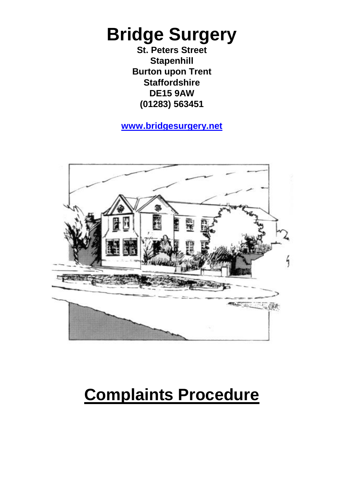# **Bridge Surgery**

**St. Peters Street Stapenhill Burton upon Trent Staffordshire DE15 9AW (01283) 563451**

#### **[www.bridgesurgery.net](http://www.bridgesurgery.net/)**



# **Complaints Procedure**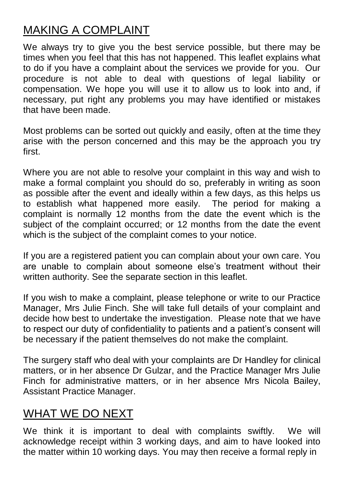# MAKING A COMPLAINT

We always try to give you the best service possible, but there may be times when you feel that this has not happened. This leaflet explains what to do if you have a complaint about the services we provide for you. Our procedure is not able to deal with questions of legal liability or compensation. We hope you will use it to allow us to look into and, if necessary, put right any problems you may have identified or mistakes that have been made.

Most problems can be sorted out quickly and easily, often at the time they arise with the person concerned and this may be the approach you try first.

Where you are not able to resolve your complaint in this way and wish to make a formal complaint you should do so, preferably in writing as soon as possible after the event and ideally within a few days, as this helps us to establish what happened more easily. The period for making a complaint is normally 12 months from the date the event which is the subject of the complaint occurred; or 12 months from the date the event which is the subject of the complaint comes to your notice.

If you are a registered patient you can complain about your own care. You are unable to complain about someone else's treatment without their written authority. See the separate section in this leaflet.

If you wish to make a complaint, please telephone or write to our Practice Manager, Mrs Julie Finch. She will take full details of your complaint and decide how best to undertake the investigation. Please note that we have to respect our duty of confidentiality to patients and a patient's consent will be necessary if the patient themselves do not make the complaint.

The surgery staff who deal with your complaints are Dr Handley for clinical matters, or in her absence Dr Gulzar, and the Practice Manager Mrs Julie Finch for administrative matters, or in her absence Mrs Nicola Bailey, Assistant Practice Manager.

#### WHAT WE DO NEXT

We think it is important to deal with complaints swiftly. We will acknowledge receipt within 3 working days, and aim to have looked into the matter within 10 working days. You may then receive a formal reply in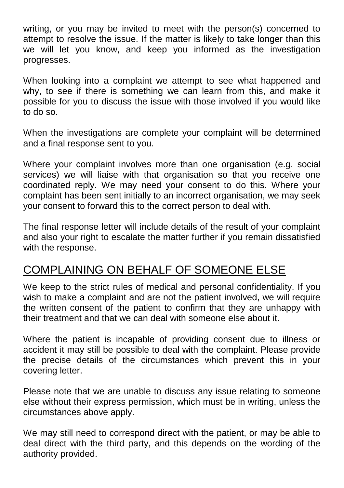writing, or you may be invited to meet with the person(s) concerned to attempt to resolve the issue. If the matter is likely to take longer than this we will let you know, and keep you informed as the investigation progresses.

When looking into a complaint we attempt to see what happened and why, to see if there is something we can learn from this, and make it possible for you to discuss the issue with those involved if you would like to do so.

When the investigations are complete your complaint will be determined and a final response sent to you.

Where your complaint involves more than one organisation (e.g. social services) we will liaise with that organisation so that you receive one coordinated reply. We may need your consent to do this. Where your complaint has been sent initially to an incorrect organisation, we may seek your consent to forward this to the correct person to deal with.

The final response letter will include details of the result of your complaint and also your right to escalate the matter further if you remain dissatisfied with the response.

### COMPLAINING ON BEHALF OF SOMEONE ELSE

We keep to the strict rules of medical and personal confidentiality. If you wish to make a complaint and are not the patient involved, we will require the written consent of the patient to confirm that they are unhappy with their treatment and that we can deal with someone else about it.

Where the patient is incapable of providing consent due to illness or accident it may still be possible to deal with the complaint. Please provide the precise details of the circumstances which prevent this in your covering letter.

Please note that we are unable to discuss any issue relating to someone else without their express permission, which must be in writing, unless the circumstances above apply.

We may still need to correspond direct with the patient, or may be able to deal direct with the third party, and this depends on the wording of the authority provided.